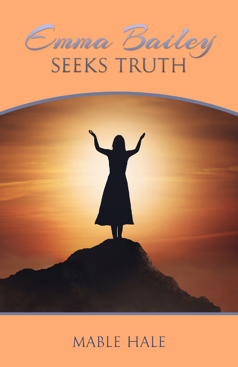



## MABLE HALE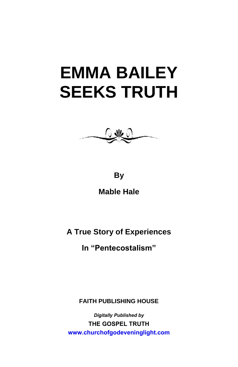

**By** 

**Mable Hale** 

**A True Story of Experiences** 

**In "Pentecostalism"**

**FAITH PUBLISHING HOUSE**

*Digitally Published by* **THE GOSPEL TRUTH <www.churchofgodeveninglight.com>**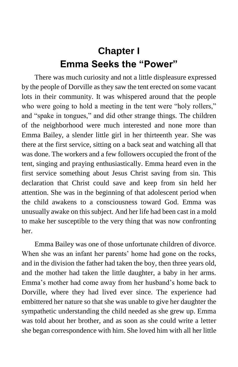## **Chapter I Emma Seeks the "Power"**

There was much curiosity and not a little displeasure expressed by the people of Dorville as they saw the tent erected on some vacant lots in their community. It was whispered around that the people who were going to hold a meeting in the tent were "holy rollers," and "spake in tongues," and did other strange things. The children of the neighborhood were much interested and none more than Emma Bailey, a slender little girl in her thirteenth year. She was there at the first service, sitting on a back seat and watching all that was done. The workers and a few followers occupied the front of the tent, singing and praying enthusiastically. Emma heard even in the first service something about Jesus Christ saving from sin. This declaration that Christ could save and keep from sin held her attention. She was in the beginning of that adolescent period when the child awakens to a consciousness toward God. Emma was unusually awake on this subject. And her life had been cast in a mold to make her susceptible to the very thing that was now confronting her.

Emma Bailey was one of those unfortunate children of divorce. When she was an infant her parents' home had gone on the rocks, and in the division the father had taken the boy, then three years old, and the mother had taken the little daughter, a baby in her arms. Emma's mother had come away from her husband's home back to Dorville, where they had lived ever since. The experience had embittered her nature so that she was unable to give her daughter the sympathetic understanding the child needed as she grew up. Emma was told about her brother, and as soon as she could write a letter she began correspondence with him. She loved him with all her little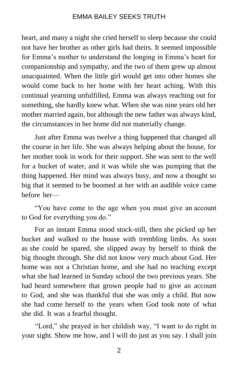heart, and many a night she cried herself to sleep because she could not have her brother as other girls had theirs. It seemed impossible for Emma's mother to understand the longing in Emma's heart for companionship and sympathy, and the two of them grew up almost unacquainted. When the little girl would get into other homes she would come back to her home with her heart aching. With this continual yearning unfulfilled, Emma was always reaching out for something, she hardly knew what. When she was nine years old her mother married again, but although the new father was always kind, the circumstances in her home did not materially change.

Just after Emma was twelve a thing happened that changed all the course in her life. She was always helping about the house, for her mother took in work for their support. She was sent to the well for a bucket of water, and it was while she was pumping that the thing happened. Her mind was always busy, and now a thought so big that it seemed to be boomed at her with an audible voice came before her—

"You have come to the age when you must give an account to God for everything you do."

For an instant Emma stood stock-still, then she picked up her bucket and walked to the house with trembling limbs. As soon as she could be spared, she slipped away by herself to think the big thought through. She did not know very much about God. Her home was not a Christian home, and she had no teaching except what she had learned in Sunday school the two previous years. She had heard somewhere that grown people had to give an account to God, and she was thankful that she was only a child. But now she had come herself to the years when God took note of what she did. It was a fearful thought.

"Lord," she prayed in her childish way, "I want to do right in your sight. Show me how, and I will do just as you say. I shall join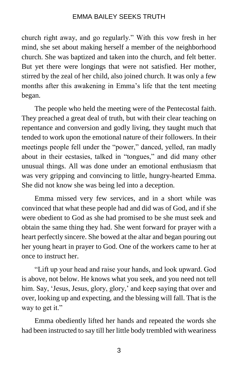church right away, and go regularly." With this vow fresh in her mind, she set about making herself a member of the neighborhood church. She was baptized and taken into the church, and felt better. But yet there were longings that were not satisfied. Her mother, stirred by the zeal of her child, also joined church. It was only a few months after this awakening in Emma's life that the tent meeting began.

The people who held the meeting were of the Pentecostal faith. They preached a great deal of truth, but with their clear teaching on repentance and conversion and godly living, they taught much that tended to work upon the emotional nature of their followers. In their meetings people fell under the "power," danced, yelled, ran madly about in their ecstasies, talked in "tongues," and did many other unusual things. All was done under an emotional enthusiasm that was very gripping and convincing to little, hungry-hearted Emma. She did not know she was being led into a deception.

Emma missed very few services, and in a short while was convinced that what these people had and did was of God, and if she were obedient to God as she had promised to be she must seek and obtain the same thing they had. She went forward for prayer with a heart perfectly sincere. She bowed at the altar and began pouring out her young heart in prayer to God. One of the workers came to her at once to instruct her.

"Lift up your head and raise your hands, and look upward. God is above, not below. He knows what you seek, and you need not tell him. Say, 'Jesus, Jesus, glory, glory,' and keep saying that over and over, looking up and expecting, and the blessing will fall. That is the way to get it."

Emma obediently lifted her hands and repeated the words she had been instructed to say till her little body trembled with weariness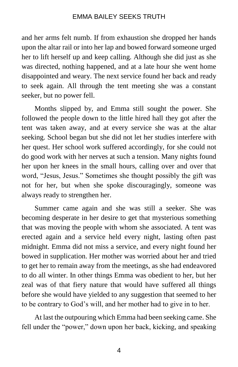and her arms felt numb. If from exhaustion she dropped her hands upon the altar rail or into her lap and bowed forward someone urged her to lift herself up and keep calling. Although she did just as she was directed, nothing happened, and at a late hour she went home disappointed and weary. The next service found her back and ready to seek again. All through the tent meeting she was a constant seeker, but no power fell.

Months slipped by, and Emma still sought the power. She followed the people down to the little hired hall they got after the tent was taken away, and at every service she was at the altar seeking. School began but she did not let her studies interfere with her quest. Her school work suffered accordingly, for she could not do good work with her nerves at such a tension. Many nights found her upon her knees in the small hours, calling over and over that word, "Jesus, Jesus." Sometimes she thought possibly the gift was not for her, but when she spoke discouragingly, someone was always ready to strengthen her.

Summer came again and she was still a seeker. She was becoming desperate in her desire to get that mysterious something that was moving the people with whom she associated. A tent was erected again and a service held every night, lasting often past midnight. Emma did not miss a service, and every night found her bowed in supplication. Her mother was worried about her and tried to get her to remain away from the meetings, as she had endeavored to do all winter. In other things Emma was obedient to her, but her zeal was of that fiery nature that would have suffered all things before she would have yielded to any suggestion that seemed to her to be contrary to God's will, and her mother had to give in to her.

At last the outpouring which Emma had been seeking came. She fell under the "power," down upon her back, kicking, and speaking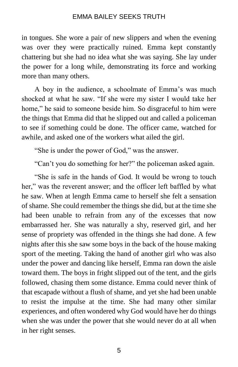in tongues. She wore a pair of new slippers and when the evening was over they were practically ruined. Emma kept constantly chattering but she had no idea what she was saying. She lay under the power for a long while, demonstrating its force and working more than many others.

A boy in the audience, a schoolmate of Emma's was much shocked at what he saw. "If she were my sister I would take her home," he said to someone beside him. So disgraceful to him were the things that Emma did that he slipped out and called a policeman to see if something could be done. The officer came, watched for awhile, and asked one of the workers what ailed the girl.

"She is under the power of God," was the answer.

"Can't you do something for her?" the policeman asked again.

"She is safe in the hands of God. It would be wrong to touch her," was the reverent answer; and the officer left baffled by what he saw. When at length Emma came to herself she felt a sensation of shame. She could remember the things she did, but at the time she had been unable to refrain from any of the excesses that now embarrassed her. She was naturally a shy, reserved girl, and her sense of propriety was offended in the things she had done. A few nights after this she saw some boys in the back of the house making sport of the meeting. Taking the hand of another girl who was also under the power and dancing like herself, Emma ran down the aisle toward them. The boys in fright slipped out of the tent, and the girls followed, chasing them some distance. Emma could never think of that escapade without a flush of shame, and yet she had been unable to resist the impulse at the time. She had many other similar experiences, and often wondered why God would have her do things when she was under the power that she would never do at all when in her right senses.

5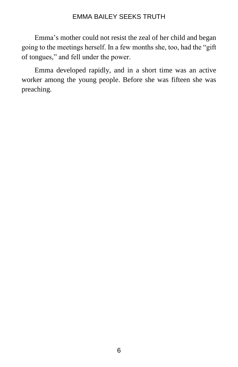Emma's mother could not resist the zeal of her child and began going to the meetings herself. In a few months she, too, had the "gift of tongues," and fell under the power.

Emma developed rapidly, and in a short time was an active worker among the young people. Before she was fifteen she was preaching.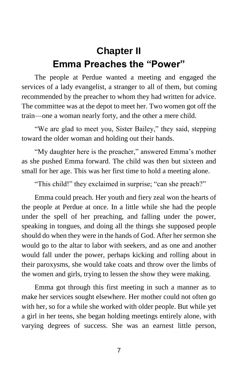## **Chapter II Emma Preaches the "Power"**

The people at Perdue wanted a meeting and engaged the services of a lady evangelist, a stranger to all of them, but coming recommended by the preacher to whom they had written for advice. The committee was at the depot to meet her. Two women got off the train—one a woman nearly forty, and the other a mere child.

"We are glad to meet you, Sister Bailey," they said, stepping toward the older woman and holding out their hands.

"My daughter here is the preacher," answered Emma's mother as she pushed Emma forward. The child was then but sixteen and small for her age. This was her first time to hold a meeting alone.

"This child!" they exclaimed in surprise; "can she preach?"

Emma could preach. Her youth and fiery zeal won the hearts of the people at Perdue at once. In a little while she had the people under the spell of her preaching, and falling under the power, speaking in tongues, and doing all the things she supposed people should do when they were in the hands of God. After her sermon she would go to the altar to labor with seekers, and as one and another would fall under the power, perhaps kicking and rolling about in their paroxysms, she would take coats and throw over the limbs of the women and girls, trying to lessen the show they were making.

Emma got through this first meeting in such a manner as to make her services sought elsewhere. Her mother could not often go with her, so for a while she worked with older people. But while yet a girl in her teens, she began holding meetings entirely alone, with varying degrees of success. She was an earnest little person,

7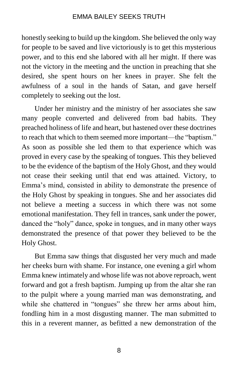honestly seeking to build up the kingdom. She believed the only way for people to be saved and live victoriously is to get this mysterious power, and to this end she labored with all her might. If there was not the victory in the meeting and the unction in preaching that she desired, she spent hours on her knees in prayer. She felt the awfulness of a soul in the hands of Satan, and gave herself completely to seeking out the lost.

Under her ministry and the ministry of her associates she saw many people converted and delivered from bad habits. They preached holiness of life and heart, but hastened over these doctrines to reach that which to them seemed more important—the "baptism." As soon as possible she led them to that experience which was proved in every case by the speaking of tongues. This they believed to be the evidence of the baptism of the Holy Ghost, and they would not cease their seeking until that end was attained. Victory, to Emma's mind, consisted in ability to demonstrate the presence of the Holy Ghost by speaking in tongues. She and her associates did not believe a meeting a success in which there was not some emotional manifestation. They fell in trances, sank under the power, danced the "holy" dance, spoke in tongues, and in many other ways demonstrated the presence of that power they believed to be the Holy Ghost.

But Emma saw things that disgusted her very much and made her cheeks burn with shame. For instance, one evening a girl whom Emma knew intimately and whose life was not above reproach, went forward and got a fresh baptism. Jumping up from the altar she ran to the pulpit where a young married man was demonstrating, and while she chattered in "tongues" she threw her arms about him, fondling him in a most disgusting manner. The man submitted to this in a reverent manner, as befitted a new demonstration of the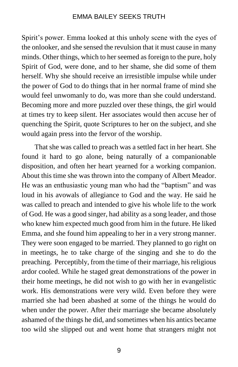Spirit's power. Emma looked at this unholy scene with the eyes of the onlooker, and she sensed the revulsion that it must cause in many minds. Other things, which to her seemed as foreign to the pure, holy Spirit of God, were done, and to her shame, she did some of them herself. Why she should receive an irresistible impulse while under the power of God to do things that in her normal frame of mind she would feel unwomanly to do, was more than she could understand. Becoming more and more puzzled over these things, the girl would at times try to keep silent. Her associates would then accuse her of quenching the Spirit, quote Scriptures to her on the subject, and she would again press into the fervor of the worship.

That she was called to preach was a settled fact in her heart. She found it hard to go alone, being naturally of a companionable disposition, and often her heart yearned for a working companion. About this time she was thrown into the company of Albert Meador. He was an enthusiastic young man who had the "baptism" and was loud in his avowals of allegiance to God and the way. He said he was called to preach and intended to give his whole life to the work of God. He was a good singer, had ability as a song leader, and those who knew him expected much good from him in the future. He liked Emma, and she found him appealing to her in a very strong manner. They were soon engaged to be married. They planned to go right on in meetings, he to take charge of the singing and she to do the preaching. Perceptibly, from the time of their marriage, his religious ardor cooled. While he staged great demonstrations of the power in their home meetings, he did not wish to go with her in evangelistic work. His demonstrations were very wild. Even before they were married she had been abashed at some of the things he would do when under the power. After their marriage she became absolutely ashamed of the things he did, and sometimes when his antics became too wild she slipped out and went home that strangers might not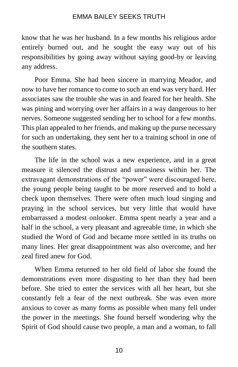know that he was her husband. In a few months his religious ardor entirely burned out, and he sought the easy way out of his responsibilities by going away without saying good-by or leaving any address.

Poor Emma. She had been sincere in marrying Meador, and now to have her romance to come to such an end was very hard. Her associates saw the trouble she was in and feared for her health. She was pining and worrying over her affairs in a way dangerous to her nerves. Someone suggested sending her to school for a few months. This plan appealed to her friends, and making up the purse necessary for such an undertaking, they sent her to a training school in one of the southern states.

The life in the school was a new experience, and in a great measure it silenced the distrust and uneasiness within her. The extravagant demonstrations of the "power" were discouraged here, the young people being taught to be more reserved and to hold a check upon themselves. There were often much loud singing and praying in the school services, but very little that would have embarrassed a modest onlooker. Emma spent nearly a year and a half in the school, a very pleasant and agreeable time, in which she studied the Word of God and became more settled in its truths on many lines. Her great disappointment was also overcome, and her zeal fired anew for God.

When Emma returned to her old field of labor she found the demonstrations even more disgusting to her than they had been before. She tried to enter the services with all her heart, but she constantly felt a fear of the next outbreak. She was even more anxious to cover as many forms as possible when many fell under the power in the meetings. She found herself wondering why the Spirit of God should cause two people, a man and a woman, to fall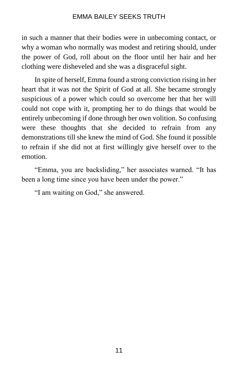in such a manner that their bodies were in unbecoming contact, or why a woman who normally was modest and retiring should, under the power of God, roll about on the floor until her hair and her clothing were disheveled and she was a disgraceful sight.

In spite of herself, Emma found a strong conviction rising in her heart that it was not the Spirit of God at all. She became strongly suspicious of a power which could so overcome her that her will could not cope with it, prompting her to do things that would be entirely unbecoming if done through her own volition. So confusing were these thoughts that she decided to refrain from any demonstrations till she knew the mind of God. She found it possible to refrain if she did not at first willingly give herself over to the emotion.

"Emma, you are backsliding," her associates warned. "It has been a long time since you have been under the power."

"I am waiting on God," she answered.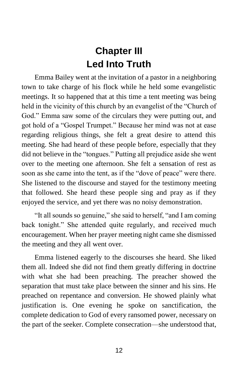## **Chapter III Led Into Truth**

Emma Bailey went at the invitation of a pastor in a neighboring town to take charge of his flock while he held some evangelistic meetings. It so happened that at this time a tent meeting was being held in the vicinity of this church by an evangelist of the "Church of God." Emma saw some of the circulars they were putting out, and got hold of a "Gospel Trumpet." Because her mind was not at ease regarding religious things, she felt a great desire to attend this meeting. She had heard of these people before, especially that they did not believe in the "tongues." Putting all prejudice aside she went over to the meeting one afternoon. She felt a sensation of rest as soon as she came into the tent, as if the "dove of peace" were there. She listened to the discourse and stayed for the testimony meeting that followed. She heard these people sing and pray as if they enjoyed the service, and yet there was no noisy demonstration.

"It all sounds so genuine," she said to herself, "and I am coming back tonight." She attended quite regularly, and received much encouragement. When her prayer meeting night came she dismissed the meeting and they all went over.

Emma listened eagerly to the discourses she heard. She liked them all. Indeed she did not find them greatly differing in doctrine with what she had been preaching. The preacher showed the separation that must take place between the sinner and his sins. He preached on repentance and conversion. He showed plainly what justification is. One evening he spoke on sanctification, the complete dedication to God of every ransomed power, necessary on the part of the seeker. Complete consecration—she understood that,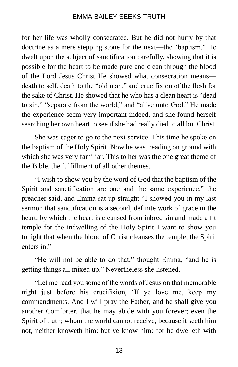for her life was wholly consecrated. But he did not hurry by that doctrine as a mere stepping stone for the next—the "baptism." He dwelt upon the subject of sanctification carefully, showing that it is possible for the heart to be made pure and clean through the blood of the Lord Jesus Christ He showed what consecration means death to self, death to the "old man," and crucifixion of the flesh for the sake of Christ. He showed that he who has a clean heart is "dead to sin," "separate from the world," and "alive unto God." He made the experience seem very important indeed, and she found herself searching her own heart to see if she had really died to all but Christ.

She was eager to go to the next service. This time he spoke on the baptism of the Holy Spirit. Now he was treading on ground with which she was very familiar. This to her was the one great theme of the Bible, the fulfillment of all other themes.

"I wish to show you by the word of God that the baptism of the Spirit and sanctification are one and the same experience," the preacher said, and Emma sat up straight "I showed you in my last sermon that sanctification is a second, definite work of grace in the heart, by which the heart is cleansed from inbred sin and made a fit temple for the indwelling of the Holy Spirit I want to show you tonight that when the blood of Christ cleanses the temple, the Spirit enters in."

"He will not be able to do that," thought Emma, "and he is getting things all mixed up." Nevertheless she listened.

"Let me read you some of the words of Jesus on that memorable night just before his crucifixion, 'If ye love me, keep my commandments. And I will pray the Father, and he shall give you another Comforter, that he may abide with you forever; even the Spirit of truth; whom the world cannot receive, because it seeth him not, neither knoweth him: but ye know him; for he dwelleth with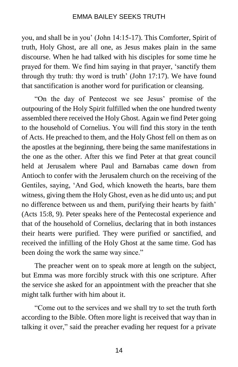you, and shall be in you' (John 14:15-17). This Comforter, Spirit of truth, Holy Ghost, are all one, as Jesus makes plain in the same discourse. When he had talked with his disciples for some time he prayed for them. We find him saying in that prayer, 'sanctify them through thy truth: thy word is truth' (John 17:17). We have found that sanctification is another word for purification or cleansing.

"On the day of Pentecost we see Jesus' promise of the outpouring of the Holy Spirit fulfilled when the one hundred twenty assembled there received the Holy Ghost. Again we find Peter going to the household of Cornelius. You will find this story in the tenth of Acts. He preached to them, and the Holy Ghost fell on them as on the apostles at the beginning, there being the same manifestations in the one as the other. After this we find Peter at that great council held at Jerusalem where Paul and Barnabas came down from Antioch to confer with the Jerusalem church on the receiving of the Gentiles, saying, 'And God, which knoweth the hearts, bare them witness, giving them the Holy Ghost, even as he did unto us; and put no difference between us and them, purifying their hearts by faith' (Acts 15:8, 9). Peter speaks here of the Pentecostal experience and that of the household of Cornelius, declaring that in both instances their hearts were purified. They were purified or sanctified, and received the infilling of the Holy Ghost at the same time. God has been doing the work the same way since."

The preacher went on to speak more at length on the subject, but Emma was more forcibly struck with this one scripture. After the service she asked for an appointment with the preacher that she might talk further with him about it.

"Come out to the services and we shall try to set the truth forth according to the Bible. Often more light is received that way than in talking it over," said the preacher evading her request for a private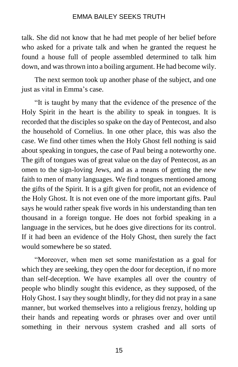talk. She did not know that he had met people of her belief before who asked for a private talk and when he granted the request he found a house full of people assembled determined to talk him down, and was thrown into a boiling argument. He had become wily.

The next sermon took up another phase of the subject, and one just as vital in Emma's case.

"It is taught by many that the evidence of the presence of the Holy Spirit in the heart is the ability to speak in tongues. It is recorded that the disciples so spake on the day of Pentecost, and also the household of Cornelius. In one other place, this was also the case. We find other times when the Holy Ghost fell nothing is said about speaking in tongues, the case of Paul being a noteworthy one. The gift of tongues was of great value on the day of Pentecost, as an omen to the sign-loving Jews, and as a means of getting the new faith to men of many languages. We find tongues mentioned among the gifts of the Spirit. It is a gift given for profit, not an evidence of the Holy Ghost. It is not even one of the more important gifts. Paul says he would rather speak five words in his understanding than ten thousand in a foreign tongue. He does not forbid speaking in a language in the services, but he does give directions for its control. If it had been an evidence of the Holy Ghost, then surely the fact would somewhere be so stated.

"Moreover, when men set some manifestation as a goal for which they are seeking, they open the door for deception, if no more than self-deception. We have examples all over the country of people who blindly sought this evidence, as they supposed, of the Holy Ghost. I say they sought blindly, for they did not pray in a sane manner, but worked themselves into a religious frenzy, holding up their hands and repeating words or phrases over and over until something in their nervous system crashed and all sorts of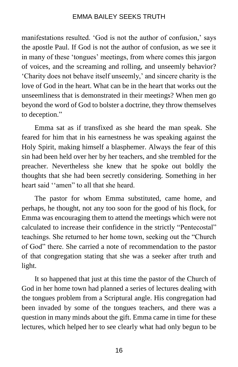manifestations resulted. 'God is not the author of confusion,' says the apostle Paul. If God is not the author of confusion, as we see it in many of these 'tongues' meetings, from where comes this jargon of voices, and the screaming and rolling, and unseemly behavior? 'Charity does not behave itself unseemly,' and sincere charity is the love of God in the heart. What can be in the heart that works out the unseemliness that is demonstrated in their meetings? When men go beyond the word of God to bolster a doctrine, they throw themselves to deception."

Emma sat as if transfixed as she heard the man speak. She feared for him that in his earnestness he was speaking against the Holy Spirit, making himself a blasphemer. Always the fear of this sin had been held over her by her teachers, and she trembled for the preacher. Nevertheless she knew that he spoke out boldly the thoughts that she had been secretly considering. Something in her heart said ''amen" to all that she heard.

The pastor for whom Emma substituted, came home, and perhaps, he thought, not any too soon for the good of his flock, for Emma was encouraging them to attend the meetings which were not calculated to increase their confidence in the strictly "Pentecostal" teachings. She returned to her home town, seeking out the "Church of God" there. She carried a note of recommendation to the pastor of that congregation stating that she was a seeker after truth and light.

It so happened that just at this time the pastor of the Church of God in her home town had planned a series of lectures dealing with the tongues problem from a Scriptural angle. His congregation had been invaded by some of the tongues teachers, and there was a question in many minds about the gift. Emma came in time for these lectures, which helped her to see clearly what had only begun to be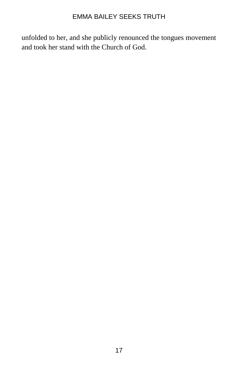unfolded to her, and she publicly renounced the tongues movement and took her stand with the Church of God.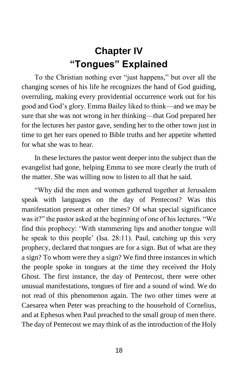## **Chapter IV "Tongues" Explained**

To the Christian nothing ever "just happens," but over all the changing scenes of his life he recognizes the hand of God guiding, overruling, making every providential occurrence work out for his good and God's glory. Emma Bailey liked to think—and we may be sure that she was not wrong in her thinking—that God prepared her for the lectures her pastor gave, sending her to the other town just in time to get her ears opened to Bible truths and her appetite whetted for what she was to hear.

In these lectures the pastor went deeper into the subject than the evangelist had gone, helping Emma to see more clearly the truth of the matter. She was willing now to listen to all that he said.

"Why did the men and women gathered together at Jerusalem speak with languages on the day of Pentecost? Was this manifestation present at other times? Of what special significance was it?" the pastor asked at the beginning of one of his lectures. "We find this prophecy: 'With stammering lips and another tongue will he speak to this people' (Isa. 28:11). Paul, catching up this very prophecy, declared that tongues are for a sign. But of what are they a sign? To whom were they a sign? We find three instances in which the people spoke in tongues at the time they received the Holy Ghost. The first instance, the day of Pentecost, there were other unusual manifestations, tongues of fire and a sound of wind. We do not read of this phenomenon again. The two other times were at Caesarea when Peter was preaching to the household of Cornelius, and at Ephesus when Paul preached to the small group of men there. The day of Pentecost we may think of as the introduction of the Holy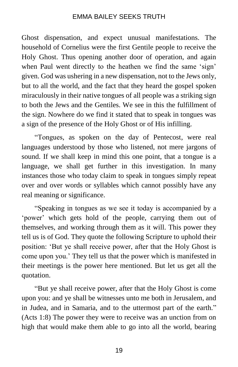Ghost dispensation, and expect unusual manifestations. The household of Cornelius were the first Gentile people to receive the Holy Ghost. Thus opening another door of operation, and again when Paul went directly to the heathen we find the same 'sign' given. God was ushering in a new dispensation, not to the Jews only, but to all the world, and the fact that they heard the gospel spoken miraculously in their native tongues of all people was a striking sign to both the Jews and the Gentiles. We see in this the fulfillment of the sign. Nowhere do we find it stated that to speak in tongues was a sign of the presence of the Holy Ghost or of His infilling.

"Tongues, as spoken on the day of Pentecost, were real languages understood by those who listened, not mere jargons of sound. If we shall keep in mind this one point, that a tongue is a language, we shall get further in this investigation. In many instances those who today claim to speak in tongues simply repeat over and over words or syllables which cannot possibly have any real meaning or significance.

"Speaking in tongues as we see it today is accompanied by a 'power' which gets hold of the people, carrying them out of themselves, and working through them as it will. This power they tell us is of God. They quote the following Scripture to uphold their position: 'But ye shall receive power, after that the Holy Ghost is come upon you.' They tell us that the power which is manifested in their meetings is the power here mentioned. But let us get all the quotation.

"But ye shall receive power, after that the Holy Ghost is come upon you: and ye shall be witnesses unto me both in Jerusalem, and in Judea, and in Samaria, and to the uttermost part of the earth." (Acts 1:8) The power they were to receive was an unction from on high that would make them able to go into all the world, bearing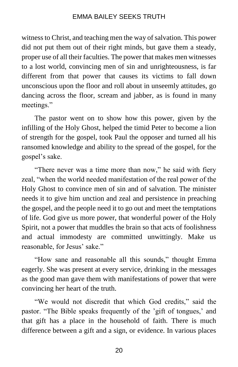witness to Christ, and teaching men the way of salvation. This power did not put them out of their right minds, but gave them a steady, proper use of all their faculties. The power that makes men witnesses to a lost world, convincing men of sin and unrighteousness, is far different from that power that causes its victims to fall down unconscious upon the floor and roll about in unseemly attitudes, go dancing across the floor, scream and jabber, as is found in many meetings."

The pastor went on to show how this power, given by the infilling of the Holy Ghost, helped the timid Peter to become a lion of strength for the gospel, took Paul the opposer and turned all his ransomed knowledge and ability to the spread of the gospel, for the gospel's sake.

"There never was a time more than now," he said with fiery zeal, "when the world needed manifestation of the real power of the Holy Ghost to convince men of sin and of salvation. The minister needs it to give him unction and zeal and persistence in preaching the gospel, and the people need it to go out and meet the temptations of life. God give us more power, that wonderful power of the Holy Spirit, not a power that muddles the brain so that acts of foolishness and actual immodesty are committed unwittingly. Make us reasonable, for Jesus' sake."

"How sane and reasonable all this sounds," thought Emma eagerly. She was present at every service, drinking in the messages as the good man gave them with manifestations of power that were convincing her heart of the truth.

"We would not discredit that which God credits," said the pastor. "The Bible speaks frequently of the 'gift of tongues,' and that gift has a place in the household of faith. There is much difference between a gift and a sign, or evidence. In various places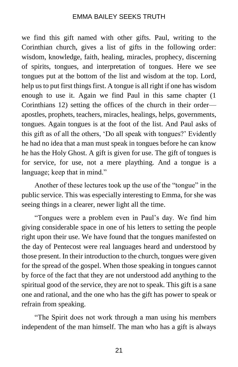we find this gift named with other gifts. Paul, writing to the Corinthian church, gives a list of gifts in the following order: wisdom, knowledge, faith, healing, miracles, prophecy, discerning of spirits, tongues, and interpretation of tongues. Here we see tongues put at the bottom of the list and wisdom at the top. Lord, help us to put first things first. A tongue is all right if one has wisdom enough to use it. Again we find Paul in this same chapter (1 Corinthians 12) setting the offices of the church in their order apostles, prophets, teachers, miracles, healings, helps, governments, tongues. Again tongues is at the foot of the list. And Paul asks of this gift as of all the others, 'Do all speak with tongues?' Evidently he had no idea that a man must speak in tongues before he can know he has the Holy Ghost. A gift is given for use. The gift of tongues is for service, for use, not a mere plaything. And a tongue is a language; keep that in mind."

Another of these lectures took up the use of the "tongue" in the public service. This was especially interesting to Emma, for she was seeing things in a clearer, newer light all the time.

"Tongues were a problem even in Paul's day. We find him giving considerable space in one of his letters to setting the people right upon their use. We have found that the tongues manifested on the day of Pentecost were real languages heard and understood by those present. In their introduction to the church, tongues were given for the spread of the gospel. When those speaking in tongues cannot by force of the fact that they are not understood add anything to the spiritual good of the service, they are not to speak. This gift is a sane one and rational, and the one who has the gift has power to speak or refrain from speaking.

"The Spirit does not work through a man using his members independent of the man himself. The man who has a gift is always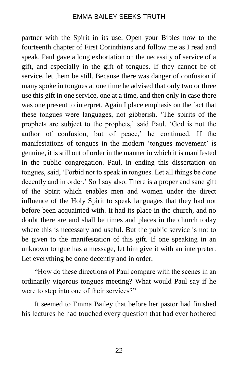partner with the Spirit in its use. Open your Bibles now to the fourteenth chapter of First Corinthians and follow me as I read and speak. Paul gave a long exhortation on the necessity of service of a gift, and especially in the gift of tongues. If they cannot be of service, let them be still. Because there was danger of confusion if many spoke in tongues at one time he advised that only two or three use this gift in one service, one at a time, and then only in case there was one present to interpret. Again I place emphasis on the fact that these tongues were languages, not gibberish. 'The spirits of the prophets are subject to the prophets,' said Paul. 'God is not the author of confusion, but of peace,' he continued. If the manifestations of tongues in the modern 'tongues movement' is genuine, it is still out of order in the manner in which it is manifested in the public congregation. Paul, in ending this dissertation on tongues, said, 'Forbid not to speak in tongues. Let all things be done decently and in order.' So I say also. There is a proper and sane gift of the Spirit which enables men and women under the direct influence of the Holy Spirit to speak languages that they had not before been acquainted with. It had its place in the church, and no doubt there are and shall be times and places in the church today where this is necessary and useful. But the public service is not to be given to the manifestation of this gift. If one speaking in an unknown tongue has a message, let him give it with an interpreter. Let everything be done decently and in order.

"How do these directions of Paul compare with the scenes in an ordinarily vigorous tongues meeting? What would Paul say if he were to step into one of their services?"

It seemed to Emma Bailey that before her pastor had finished his lectures he had touched every question that had ever bothered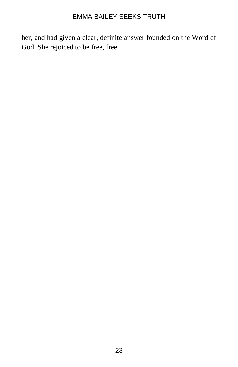her, and had given a clear, definite answer founded on the Word of God. She rejoiced to be free, free.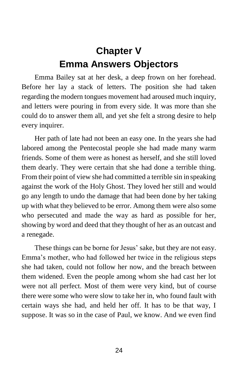## **Chapter V Emma Answers Objectors**

Emma Bailey sat at her desk, a deep frown on her forehead. Before her lay a stack of letters. The position she had taken regarding the modern tongues movement had aroused much inquiry, and letters were pouring in from every side. It was more than she could do to answer them all, and yet she felt a strong desire to help every inquirer.

Her path of late had not been an easy one. In the years she had labored among the Pentecostal people she had made many warm friends. Some of them were as honest as herself, and she still loved them dearly. They were certain that she had done a terrible thing. From their point of view she had committed a terrible sin in speaking against the work of the Holy Ghost. They loved her still and would go any length to undo the damage that had been done by her taking up with what they believed to be error. Among them were also some who persecuted and made the way as hard as possible for her, showing by word and deed that they thought of her as an outcast and a renegade.

These things can be borne for Jesus' sake, but they are not easy. Emma's mother, who had followed her twice in the religious steps she had taken, could not follow her now, and the breach between them widened. Even the people among whom she had cast her lot were not all perfect. Most of them were very kind, but of course there were some who were slow to take her in, who found fault with certain ways she had, and held her off. It has to be that way, I suppose. It was so in the case of Paul, we know. And we even find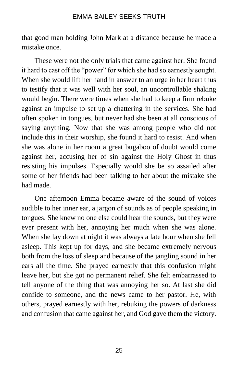that good man holding John Mark at a distance because he made a mistake once.

These were not the only trials that came against her. She found it hard to cast off the "power" for which she had so earnestly sought. When she would lift her hand in answer to an urge in her heart thus to testify that it was well with her soul, an uncontrollable shaking would begin. There were times when she had to keep a firm rebuke against an impulse to set up a chattering in the services. She had often spoken in tongues, but never had she been at all conscious of saying anything. Now that she was among people who did not include this in their worship, she found it hard to resist. And when she was alone in her room a great bugaboo of doubt would come against her, accusing her of sin against the Holy Ghost in thus resisting his impulses. Especially would she be so assailed after some of her friends had been talking to her about the mistake she had made.

One afternoon Emma became aware of the sound of voices audible to her inner ear, a jargon of sounds as of people speaking in tongues. She knew no one else could hear the sounds, but they were ever present with her, annoying her much when she was alone. When she lay down at night it was always a late hour when she fell asleep. This kept up for days, and she became extremely nervous both from the loss of sleep and because of the jangling sound in her ears all the time. She prayed earnestly that this confusion might leave her, but she got no permanent relief. She felt embarrassed to tell anyone of the thing that was annoying her so. At last she did confide to someone, and the news came to her pastor. He, with others, prayed earnestly with her, rebuking the powers of darkness and confusion that came against her, and God gave them the victory.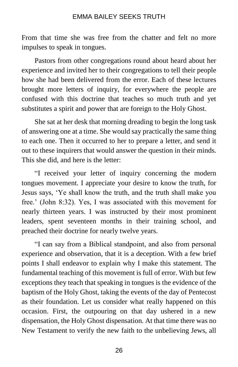From that time she was free from the chatter and felt no more impulses to speak in tongues.

Pastors from other congregations round about heard about her experience and invited her to their congregations to tell their people how she had been delivered from the error. Each of these lectures brought more letters of inquiry, for everywhere the people are confused with this doctrine that teaches so much truth and yet substitutes a spirit and power that are foreign to the Holy Ghost.

She sat at her desk that morning dreading to begin the long task of answering one at a time. She would say practically the same thing to each one. Then it occurred to her to prepare a letter, and send it out to these inquirers that would answer the question in their minds. This she did, and here is the letter:

"I received your letter of inquiry concerning the modern tongues movement. I appreciate your desire to know the truth, for Jesus says, 'Ye shall know the truth, and the truth shall make you free.' (John 8:32). Yes, I was associated with this movement for nearly thirteen years. I was instructed by their most prominent leaders, spent seventeen months in their training school, and preached their doctrine for nearly twelve years.

"I can say from a Biblical standpoint, and also from personal experience and observation, that it is a deception. With a few brief points I shall endeavor to explain why I make this statement. The fundamental teaching of this movement is full of error. With but few exceptions they teach that speaking in tongues is the evidence of the baptism of the Holy Ghost, taking the events of the day of Pentecost as their foundation. Let us consider what really happened on this occasion. First, the outpouring on that day ushered in a new dispensation, the Holy Ghost dispensation. At that time there was no New Testament to verify the new faith to the unbelieving Jews, all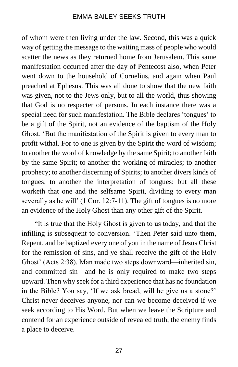of whom were then living under the law. Second, this was a quick way of getting the message to the waiting mass of people who would scatter the news as they returned home from Jerusalem. This same manifestation occurred after the day of Pentecost also, when Peter went down to the household of Cornelius, and again when Paul preached at Ephesus. This was all done to show that the new faith was given, not to the Jews only, but to all the world, thus showing that God is no respecter of persons. In each instance there was a special need for such manifestation. The Bible declares 'tongues' to be a gift of the Spirit, not an evidence of the baptism of the Holy Ghost. 'But the manifestation of the Spirit is given to every man to profit withal. For to one is given by the Spirit the word of wisdom; to another the word of knowledge by the same Spirit; to another faith by the same Spirit; to another the working of miracles; to another prophecy; to another discerning of Spirits; to another divers kinds of tongues; to another the interpretation of tongues: but all these worketh that one and the selfsame Spirit, dividing to every man severally as he will' (1 Cor. 12:7-11). The gift of tongues is no more an evidence of the Holy Ghost than any other gift of the Spirit.

"It is true that the Holy Ghost is given to us today, and that the infilling is subsequent to conversion. 'Then Peter said unto them, Repent, and be baptized every one of you in the name of Jesus Christ for the remission of sins, and ye shall receive the gift of the Holy Ghost' (Acts 2:38). Man made two steps downward—inherited sin, and committed sin—and he is only required to make two steps upward. Then why seek for a third experience that has no foundation in the Bible? You say, 'If we ask bread, will he give us a stone?' Christ never deceives anyone, nor can we become deceived if we seek according to His Word. But when we leave the Scripture and contend for an experience outside of revealed truth, the enemy finds a place to deceive.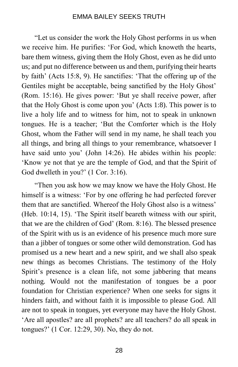"Let us consider the work the Holy Ghost performs in us when we receive him. He purifies: 'For God, which knoweth the hearts, bare them witness, giving them the Holy Ghost, even as he did unto us; and put no difference between us and them, purifying their hearts by faith' (Acts 15:8, 9). He sanctifies: 'That the offering up of the Gentiles might be acceptable, being sanctified by the Holy Ghost' (Rom. 15:16). He gives power: 'But ye shall receive power, after that the Holy Ghost is come upon you' (Acts 1:8). This power is to live a holy life and to witness for him, not to speak in unknown tongues. He is a teacher; 'But the Comforter which is the Holy Ghost, whom the Father will send in my name, he shall teach you all things, and bring all things to your remembrance, whatsoever I have said unto you' (John 14:26). He abides within his people: 'Know ye not that ye are the temple of God, and that the Spirit of God dwelleth in you?' (1 Cor. 3:16).

"Then you ask how we may know we have the Holy Ghost. He himself is a witness: 'For by one offering he had perfected forever them that are sanctified. Whereof the Holy Ghost also is a witness' (Heb. 10:14, 15). 'The Spirit itself beareth witness with our spirit, that we are the children of God' (Rom. 8:16). The blessed presence of the Spirit with us is an evidence of his presence much more sure than a jibber of tongues or some other wild demonstration. God has promised us a new heart and a new spirit, and we shall also speak new things as becomes Christians. The testimony of the Holy Spirit's presence is a clean life, not some jabbering that means nothing. Would not the manifestation of tongues be a poor foundation for Christian experience? When one seeks for signs it hinders faith, and without faith it is impossible to please God. All are not to speak in tongues, yet everyone may have the Holy Ghost. 'Are all apostles? are all prophets? are all teachers? do all speak in tongues?' (1 Cor. 12:29, 30). No, they do not.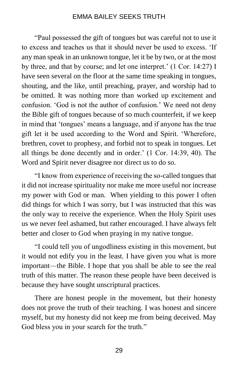"Paul possessed the gift of tongues but was careful not to use it to excess and teaches us that it should never be used to excess. 'If any man speak in an unknown tongue, let it be by two, or at the most by three, and that by course; and let one interpret.' (1 Cor. 14:27) I have seen several on the floor at the same time speaking in tongues, shouting, and the like, until preaching, prayer, and worship had to be omitted. It was nothing more than worked up excitement and confusion. 'God is not the author of confusion.' We need not deny the Bible gift of tongues because of so much counterfeit, if we keep in mind that 'tongues' means a language, and if anyone has the true gift let it be used according to the Word and Spirit. 'Wherefore, brethren, covet to prophesy, and forbid not to speak in tongues. Let all things be done decently and in order.' (1 Cor. 14:39, 40). The Word and Spirit never disagree nor direct us to do so.

"I know from experience of receiving the so-called tongues that it did not increase spirituality nor make me more useful nor increase my power with God or man. When yielding to this power I often did things for which I was sorry, but I was instructed that this was the only way to receive the experience. When the Holy Spirit uses us we never feel ashamed, but rather encouraged. I have always felt better and closer to God when praying in my native tongue.

"I could tell you of ungodliness existing in this movement, but it would not edify you in the least. I have given you what is more important—the Bible. I hope that you shall be able to see the real truth of this matter. The reason these people have been deceived is because they have sought unscriptural practices.

There are honest people in the movement, but their honesty does not prove the truth of their teaching. I was honest and sincere myself, but my honesty did not keep me from being deceived. May God bless you in your search for the truth."